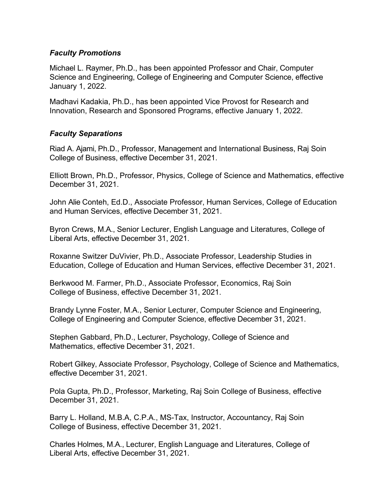### *Faculty Promotions*

Michael L. Raymer, Ph.D., has been appointed Professor and Chair, Computer Science and Engineering, College of Engineering and Computer Science, effective January 1, 2022.

Madhavi Kadakia, Ph.D., has been appointed Vice Provost for Research and Innovation, Research and Sponsored Programs, effective January 1, 2022.

### *Faculty Separations*

Riad A. Ajami, Ph.D., Professor, Management and International Business, Raj Soin College of Business, effective December 31, 2021.

Elliott Brown, Ph.D., Professor, Physics, College of Science and Mathematics, effective December 31, 2021.

John Alie Conteh, Ed.D., Associate Professor, Human Services, College of Education and Human Services, effective December 31, 2021.

Byron Crews, M.A., Senior Lecturer, English Language and Literatures, College of Liberal Arts, effective December 31, 2021.

Roxanne Switzer DuVivier, Ph.D., Associate Professor, Leadership Studies in Education, College of Education and Human Services, effective December 31, 2021.

Berkwood M. Farmer, Ph.D., Associate Professor, Economics, Raj Soin College of Business, effective December 31, 2021.

Brandy Lynne Foster, M.A., Senior Lecturer, Computer Science and Engineering, College of Engineering and Computer Science, effective December 31, 2021.

Stephen Gabbard, Ph.D., Lecturer, Psychology, College of Science and Mathematics, effective December 31, 2021.

Robert Gilkey, Associate Professor, Psychology, College of Science and Mathematics, effective December 31, 2021.

Pola Gupta, Ph.D., Professor, Marketing, Raj Soin College of Business, effective December 31, 2021.

Barry L. Holland, M.B.A, C.P.A., MS-Tax, Instructor, Accountancy, Raj Soin College of Business, effective December 31, 2021.

Charles Holmes, M.A., Lecturer, English Language and Literatures, College of Liberal Arts, effective December 31, 2021.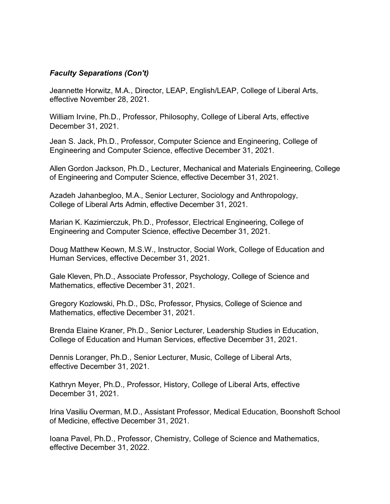### *Faculty Separations (Con't)*

Jeannette Horwitz, M.A., Director, LEAP, English/LEAP, College of Liberal Arts, effective November 28, 2021.

William Irvine, Ph.D., Professor, Philosophy, College of Liberal Arts, effective December 31, 2021.

Jean S. Jack, Ph.D., Professor, Computer Science and Engineering, College of Engineering and Computer Science, effective December 31, 2021.

Allen Gordon Jackson, Ph.D., Lecturer, Mechanical and Materials Engineering, College of Engineering and Computer Science, effective December 31, 2021.

Azadeh Jahanbegloo, M.A., Senior Lecturer, Sociology and Anthropology, College of Liberal Arts Admin, effective December 31, 2021.

Marian K. Kazimierczuk, Ph.D., Professor, Electrical Engineering, College of Engineering and Computer Science, effective December 31, 2021.

Doug Matthew Keown, M.S.W., Instructor, Social Work, College of Education and Human Services, effective December 31, 2021.

Gale Kleven, Ph.D., Associate Professor, Psychology, College of Science and Mathematics, effective December 31, 2021.

Gregory Kozlowski, Ph.D., DSc, Professor, Physics, College of Science and Mathematics, effective December 31, 2021.

Brenda Elaine Kraner, Ph.D., Senior Lecturer, Leadership Studies in Education, College of Education and Human Services, effective December 31, 2021.

Dennis Loranger, Ph.D., Senior Lecturer, Music, College of Liberal Arts, effective December 31, 2021.

Kathryn Meyer, Ph.D., Professor, History, College of Liberal Arts, effective December 31, 2021.

Irina Vasiliu Overman, M.D., Assistant Professor, Medical Education, Boonshoft School of Medicine, effective December 31, 2021.

Ioana Pavel, Ph.D., Professor, Chemistry, College of Science and Mathematics, effective December 31, 2022.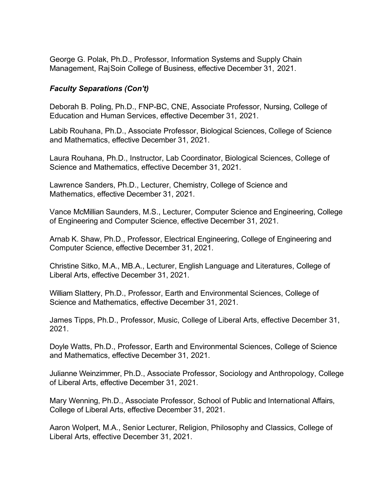George G. Polak, Ph.D., Professor, Information Systems and Supply Chain Management, RajSoin College of Business, effective December 31, 2021.

# *Faculty Separations (Con't)*

Deborah B. Poling, Ph.D., FNP-BC, CNE, Associate Professor, Nursing, College of Education and Human Services, effective December 31, 2021.

Labib Rouhana, Ph.D., Associate Professor, Biological Sciences, College of Science and Mathematics, effective December 31, 2021.

Laura Rouhana, Ph.D., Instructor, Lab Coordinator, Biological Sciences, College of Science and Mathematics, effective December 31, 2021.

Lawrence Sanders, Ph.D., Lecturer, Chemistry, College of Science and Mathematics, effective December 31, 2021.

Vance McMillian Saunders, M.S., Lecturer, Computer Science and Engineering, College of Engineering and Computer Science, effective December 31, 2021.

Arnab K. Shaw, Ph.D., Professor, Electrical Engineering, College of Engineering and Computer Science, effective December 31, 2021.

Christine Sitko, M.A., MB.A., Lecturer, English Language and Literatures, College of Liberal Arts, effective December 31, 2021.

William Slattery, Ph.D., Professor, Earth and Environmental Sciences, College of Science and Mathematics, effective December 31, 2021.

James Tipps, Ph.D., Professor, Music, College of Liberal Arts, effective December 31, 2021.

Doyle Watts, Ph.D., Professor, Earth and Environmental Sciences, College of Science and Mathematics, effective December 31, 2021.

Julianne Weinzimmer, Ph.D., Associate Professor, Sociology and Anthropology, College of Liberal Arts, effective December 31, 2021.

Mary Wenning, Ph.D., Associate Professor, School of Public and International Affairs, College of Liberal Arts, effective December 31, 2021.

Aaron Wolpert, M.A., Senior Lecturer, Religion, Philosophy and Classics, College of Liberal Arts, effective December 31, 2021.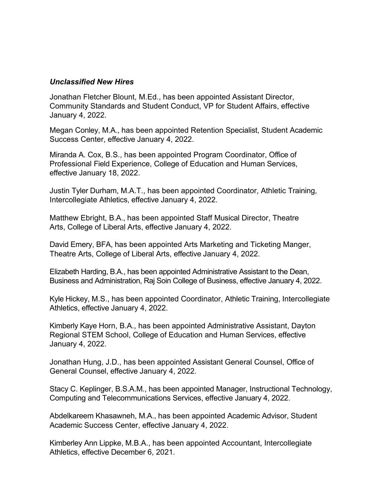#### *Unclassified New Hires*

Jonathan Fletcher Blount, M.Ed., has been appointed Assistant Director, Community Standards and Student Conduct, VP for Student Affairs, effective January 4, 2022.

Megan Conley, M.A., has been appointed Retention Specialist, Student Academic Success Center, effective January 4, 2022.

Miranda A. Cox, B.S., has been appointed Program Coordinator, Office of Professional Field Experience, College of Education and Human Services, effective January 18, 2022.

Justin Tyler Durham, M.A.T., has been appointed Coordinator, Athletic Training, Intercollegiate Athletics, effective January 4, 2022.

Matthew Ebright, B.A., has been appointed Staff Musical Director, Theatre Arts, College of Liberal Arts, effective January 4, 2022.

David Emery, BFA, has been appointed Arts Marketing and Ticketing Manger, Theatre Arts, College of Liberal Arts, effective January 4, 2022.

Elizabeth Harding, B.A., has been appointed Administrative Assistant to the Dean, Business and Administration, Raj Soin College of Business, effective January 4, 2022.

Kyle Hickey, M.S., has been appointed Coordinator, Athletic Training, Intercollegiate Athletics, effective January 4, 2022.

Kimberly Kaye Horn, B.A., has been appointed Administrative Assistant, Dayton Regional STEM School, College of Education and Human Services, effective January 4, 2022.

Jonathan Hung, J.D., has been appointed Assistant General Counsel, Office of General Counsel, effective January 4, 2022.

Stacy C. Keplinger, B.S.A.M., has been appointed Manager, Instructional Technology, Computing and Telecommunications Services, effective January 4, 2022.

Abdelkareem Khasawneh, M.A., has been appointed Academic Advisor, Student Academic Success Center, effective January 4, 2022.

Kimberley Ann Lippke, M.B.A., has been appointed Accountant, Intercollegiate Athletics, effective December 6, 2021.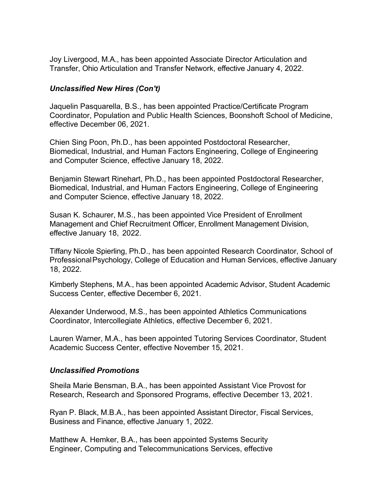Joy Livergood, M.A., has been appointed Associate Director Articulation and Transfer, Ohio Articulation and Transfer Network, effective January 4, 2022.

#### *Unclassified New Hires (Con't)*

Jaquelin Pasquarella, B.S., has been appointed Practice/Certificate Program Coordinator, Population and Public Health Sciences, Boonshoft School of Medicine, effective December 06, 2021.

Chien Sing Poon, Ph.D., has been appointed Postdoctoral Researcher, Biomedical, Industrial, and Human Factors Engineering, College of Engineering and Computer Science, effective January 18, 2022.

Benjamin Stewart Rinehart, Ph.D., has been appointed Postdoctoral Researcher, Biomedical, Industrial, and Human Factors Engineering, College of Engineering and Computer Science, effective January 18, 2022.

Susan K. Schaurer, M.S., has been appointed Vice President of Enrollment Management and Chief Recruitment Officer, Enrollment Management Division, effective January 18, 2022.

Tiffany Nicole Spierling, Ph.D., has been appointed Research Coordinator, School of ProfessionalPsychology, College of Education and Human Services, effective January 18, 2022.

Kimberly Stephens, M.A., has been appointed Academic Advisor, Student Academic Success Center, effective December 6, 2021.

Alexander Underwood, M.S., has been appointed Athletics Communications Coordinator, Intercollegiate Athletics, effective December 6, 2021.

Lauren Warner, M.A., has been appointed Tutoring Services Coordinator, Student Academic Success Center, effective November 15, 2021.

#### *Unclassified Promotions*

Sheila Marie Bensman, B.A., has been appointed Assistant Vice Provost for Research, Research and Sponsored Programs, effective December 13, 2021.

Ryan P. Black, M.B.A., has been appointed Assistant Director, Fiscal Services, Business and Finance, effective January 1, 2022.

Matthew A. Hemker, B.A., has been appointed Systems Security Engineer, Computing and Telecommunications Services, effective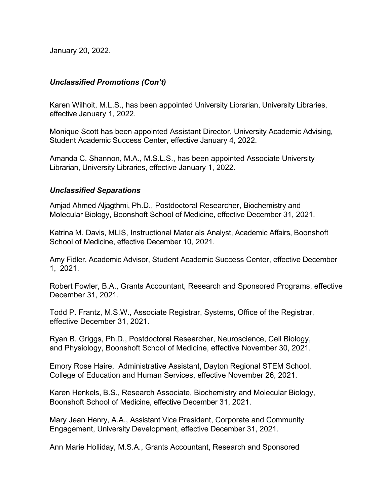January 20, 2022.

### *Unclassified Promotions (Con't)*

Karen Wilhoit, M.L.S., has been appointed University Librarian, University Libraries, effective January 1, 2022.

Monique Scott has been appointed Assistant Director, University Academic Advising, Student Academic Success Center, effective January 4, 2022.

Amanda C. Shannon, M.A., M.S.L.S., has been appointed Associate University Librarian, University Libraries, effective January 1, 2022.

#### *Unclassified Separations*

Amjad Ahmed Aljagthmi, Ph.D., Postdoctoral Researcher, Biochemistry and Molecular Biology, Boonshoft School of Medicine, effective December 31, 2021.

Katrina M. Davis, MLIS, Instructional Materials Analyst, Academic Affairs, Boonshoft School of Medicine, effective December 10, 2021.

Amy Fidler, Academic Advisor, Student Academic Success Center, effective December 1, 2021.

Robert Fowler, B.A., Grants Accountant, Research and Sponsored Programs, effective December 31, 2021.

Todd P. Frantz, M.S.W., Associate Registrar, Systems, Office of the Registrar, effective December 31, 2021.

Ryan B. Griggs, Ph.D., Postdoctoral Researcher, Neuroscience, Cell Biology, and Physiology, Boonshoft School of Medicine, effective November 30, 2021.

Emory Rose Haire, Administrative Assistant, Dayton Regional STEM School, College of Education and Human Services, effective November 26, 2021.

Karen Henkels, B.S., Research Associate, Biochemistry and Molecular Biology, Boonshoft School of Medicine, effective December 31, 2021.

Mary Jean Henry, A.A., Assistant Vice President, Corporate and Community Engagement, University Development, effective December 31, 2021.

Ann Marie Holliday, M.S.A., Grants Accountant, Research and Sponsored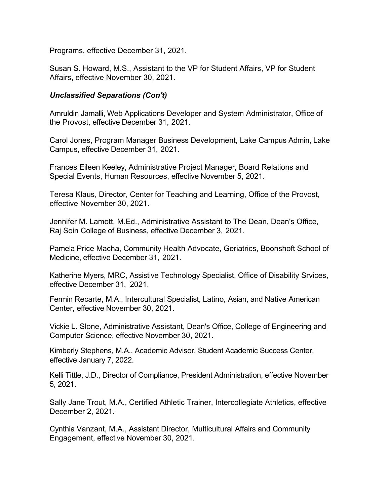Programs, effective December 31, 2021.

Susan S. Howard, M.S., Assistant to the VP for Student Affairs, VP for Student Affairs, effective November 30, 2021.

### *Unclassified Separations (Con't)*

Amruldin Jamalli, Web Applications Developer and System Administrator, Office of the Provost, effective December 31, 2021.

Carol Jones, Program Manager Business Development, Lake Campus Admin, Lake Campus, effective December 31, 2021.

Frances Eileen Keeley, Administrative Project Manager, Board Relations and Special Events, Human Resources, effective November 5, 2021.

Teresa Klaus, Director, Center for Teaching and Learning, Office of the Provost, effective November 30, 2021.

Jennifer M. Lamott, M.Ed., Administrative Assistant to The Dean, Dean's Office, Raj Soin College of Business, effective December 3, 2021.

Pamela Price Macha, Community Health Advocate, Geriatrics, Boonshoft School of Medicine, effective December 31, 2021.

Katherine Myers, MRC, Assistive Technology Specialist, Office of Disability Srvices, effective December 31, 2021.

Fermin Recarte, M.A., Intercultural Specialist, Latino, Asian, and Native American Center, effective November 30, 2021.

Vickie L. Slone, Administrative Assistant, Dean's Office, College of Engineering and Computer Science, effective November 30, 2021.

Kimberly Stephens, M.A., Academic Advisor, Student Academic Success Center, effective January 7, 2022.

Kelli Tittle, J.D., Director of Compliance, President Administration, effective November 5, 2021.

Sally Jane Trout, M.A., Certified Athletic Trainer, Intercollegiate Athletics, effective December 2, 2021.

Cynthia Vanzant, M.A., Assistant Director, Multicultural Affairs and Community Engagement, effective November 30, 2021.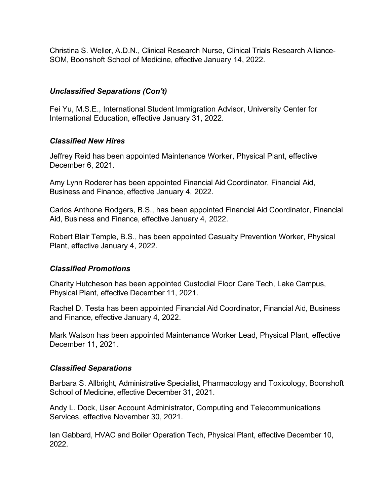Christina S. Weller, A.D.N., Clinical Research Nurse, Clinical Trials Research Alliance-SOM, Boonshoft School of Medicine, effective January 14, 2022.

## *Unclassified Separations (Con't)*

Fei Yu, M.S.E., International Student Immigration Advisor, University Center for International Education, effective January 31, 2022.

### *Classified New Hires*

Jeffrey Reid has been appointed Maintenance Worker, Physical Plant, effective December 6, 2021.

Amy Lynn Roderer has been appointed Financial Aid Coordinator, Financial Aid, Business and Finance, effective January 4, 2022.

Carlos Anthone Rodgers, B.S., has been appointed Financial Aid Coordinator, Financial Aid, Business and Finance, effective January 4, 2022.

Robert Blair Temple, B.S., has been appointed Casualty Prevention Worker, Physical Plant, effective January 4, 2022.

#### *Classified Promotions*

Charity Hutcheson has been appointed Custodial Floor Care Tech, Lake Campus, Physical Plant, effective December 11, 2021.

Rachel D. Testa has been appointed Financial Aid Coordinator, Financial Aid, Business and Finance, effective January 4, 2022.

Mark Watson has been appointed Maintenance Worker Lead, Physical Plant, effective December 11, 2021.

#### *Classified Separations*

Barbara S. Allbright, Administrative Specialist, Pharmacology and Toxicology, Boonshoft School of Medicine, effective December 31, 2021.

Andy L. Dock, User Account Administrator, Computing and Telecommunications Services, effective November 30, 2021.

Ian Gabbard, HVAC and Boiler Operation Tech, Physical Plant, effective December 10, 2022.